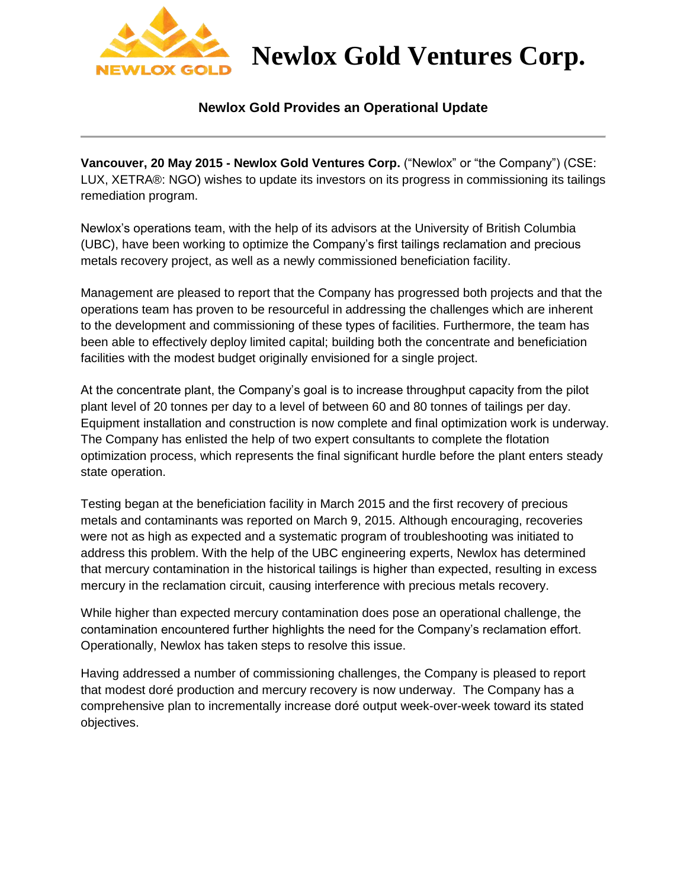

## **Newlox Gold Ventures Corp.**

### **Newlox Gold Provides an Operational Update**

**Vancouver, 20 May 2015 - Newlox Gold Ventures Corp.** ("Newlox" or "the Company") (CSE: LUX, XETRA®: NGO) wishes to update its investors on its progress in commissioning its tailings remediation program.

Newlox's operations team, with the help of its advisors at the University of British Columbia (UBC), have been working to optimize the Company's first tailings reclamation and precious metals recovery project, as well as a newly commissioned beneficiation facility.

Management are pleased to report that the Company has progressed both projects and that the operations team has proven to be resourceful in addressing the challenges which are inherent to the development and commissioning of these types of facilities. Furthermore, the team has been able to effectively deploy limited capital; building both the concentrate and beneficiation facilities with the modest budget originally envisioned for a single project.

At the concentrate plant, the Company's goal is to increase throughput capacity from the pilot plant level of 20 tonnes per day to a level of between 60 and 80 tonnes of tailings per day. Equipment installation and construction is now complete and final optimization work is underway. The Company has enlisted the help of two expert consultants to complete the flotation optimization process, which represents the final significant hurdle before the plant enters steady state operation.

Testing began at the beneficiation facility in March 2015 and the first recovery of precious metals and contaminants was reported on March 9, 2015. Although encouraging, recoveries were not as high as expected and a systematic program of troubleshooting was initiated to address this problem. With the help of the UBC engineering experts, Newlox has determined that mercury contamination in the historical tailings is higher than expected, resulting in excess mercury in the reclamation circuit, causing interference with precious metals recovery.

While higher than expected mercury contamination does pose an operational challenge, the contamination encountered further highlights the need for the Company's reclamation effort. Operationally, Newlox has taken steps to resolve this issue.

Having addressed a number of commissioning challenges, the Company is pleased to report that modest doré production and mercury recovery is now underway. The Company has a comprehensive plan to incrementally increase doré output week-over-week toward its stated objectives.